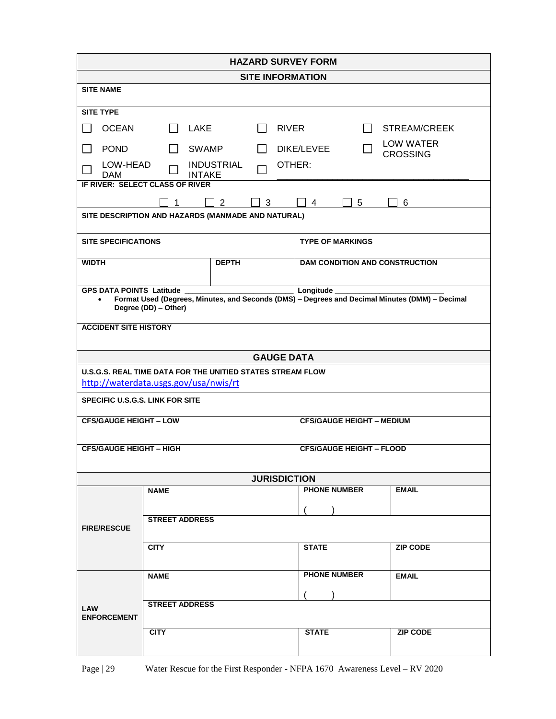| <b>HAZARD SURVEY FORM</b>                                                                                                                                                            |                              |  |  |                                 |                                       |                                     |                 |  |  |
|--------------------------------------------------------------------------------------------------------------------------------------------------------------------------------------|------------------------------|--|--|---------------------------------|---------------------------------------|-------------------------------------|-----------------|--|--|
| <b>SITE INFORMATION</b>                                                                                                                                                              |                              |  |  |                                 |                                       |                                     |                 |  |  |
| <b>SITE NAME</b>                                                                                                                                                                     |                              |  |  |                                 |                                       |                                     |                 |  |  |
| <b>SITE TYPE</b>                                                                                                                                                                     |                              |  |  |                                 |                                       |                                     |                 |  |  |
| <b>OCEAN</b>                                                                                                                                                                         | LAKE<br><b>RIVER</b>         |  |  |                                 | $\blacksquare$                        | <b>STREAM/CREEK</b>                 |                 |  |  |
| <b>POND</b>                                                                                                                                                                          | <b>SWAMP</b><br>$\mathbf{I}$ |  |  | DIKE/LEVEE                      |                                       | <b>LOW WATER</b><br><b>CROSSING</b> |                 |  |  |
| LOW-HEAD<br><b>INDUSTRIAL</b><br>OTHER:<br><b>INTAKE</b><br><b>DAM</b>                                                                                                               |                              |  |  |                                 |                                       |                                     |                 |  |  |
| IF RIVER: SELECT CLASS OF RIVER                                                                                                                                                      |                              |  |  |                                 |                                       |                                     |                 |  |  |
| $\overline{2}$<br>3<br>4<br>5<br>6<br>1                                                                                                                                              |                              |  |  |                                 |                                       |                                     |                 |  |  |
| SITE DESCRIPTION AND HAZARDS (MANMADE AND NATURAL)                                                                                                                                   |                              |  |  |                                 |                                       |                                     |                 |  |  |
| <b>SITE SPECIFICATIONS</b>                                                                                                                                                           |                              |  |  |                                 | <b>TYPE OF MARKINGS</b>               |                                     |                 |  |  |
| <b>DEPTH</b><br><b>WIDTH</b>                                                                                                                                                         |                              |  |  |                                 | <b>DAM CONDITION AND CONSTRUCTION</b> |                                     |                 |  |  |
|                                                                                                                                                                                      |                              |  |  |                                 |                                       |                                     |                 |  |  |
| <b>GPS DATA POINTS Latitude</b><br>Longitude_<br>Format Used (Degrees, Minutes, and Seconds (DMS) - Degrees and Decimal Minutes (DMM) - Decimal<br>$\bullet$<br>Degree (DD) - Other) |                              |  |  |                                 |                                       |                                     |                 |  |  |
| <b>ACCIDENT SITE HISTORY</b>                                                                                                                                                         |                              |  |  |                                 |                                       |                                     |                 |  |  |
|                                                                                                                                                                                      |                              |  |  |                                 |                                       |                                     |                 |  |  |
| <b>GAUGE DATA</b>                                                                                                                                                                    |                              |  |  |                                 |                                       |                                     |                 |  |  |
| U.S.G.S. REAL TIME DATA FOR THE UNITIED STATES STREAM FLOW                                                                                                                           |                              |  |  |                                 |                                       |                                     |                 |  |  |
| http://waterdata.usgs.gov/usa/nwis/rt                                                                                                                                                |                              |  |  |                                 |                                       |                                     |                 |  |  |
| <b>SPECIFIC U.S.G.S. LINK FOR SITE</b>                                                                                                                                               |                              |  |  |                                 |                                       |                                     |                 |  |  |
| <b>CFS/GAUGE HEIGHT - LOW</b>                                                                                                                                                        |                              |  |  |                                 | <b>CFS/GAUGE HEIGHT - MEDIUM</b>      |                                     |                 |  |  |
|                                                                                                                                                                                      |                              |  |  |                                 |                                       |                                     |                 |  |  |
| <b>CFS/GAUGE HEIGHT - HIGH</b>                                                                                                                                                       |                              |  |  | <b>CFS/GAUGE HEIGHT - FLOOD</b> |                                       |                                     |                 |  |  |
|                                                                                                                                                                                      |                              |  |  |                                 | <b>JURISDICTION</b>                   |                                     |                 |  |  |
|                                                                                                                                                                                      | <b>NAME</b>                  |  |  |                                 |                                       | <b>PHONE NUMBER</b>                 | <b>EMAIL</b>    |  |  |
|                                                                                                                                                                                      |                              |  |  |                                 |                                       |                                     |                 |  |  |
| <b>FIRE/RESCUE</b>                                                                                                                                                                   | <b>STREET ADDRESS</b>        |  |  |                                 |                                       |                                     |                 |  |  |
|                                                                                                                                                                                      | <b>CITY</b>                  |  |  |                                 | <b>STATE</b>                          |                                     | <b>ZIP CODE</b> |  |  |
|                                                                                                                                                                                      |                              |  |  |                                 |                                       |                                     |                 |  |  |
|                                                                                                                                                                                      | <b>NAME</b>                  |  |  |                                 |                                       | <b>PHONE NUMBER</b>                 | <b>EMAIL</b>    |  |  |
|                                                                                                                                                                                      |                              |  |  |                                 |                                       |                                     |                 |  |  |
| LAW<br><b>ENFORCEMENT</b>                                                                                                                                                            | <b>STREET ADDRESS</b>        |  |  |                                 |                                       |                                     |                 |  |  |
|                                                                                                                                                                                      | <b>CITY</b>                  |  |  |                                 | <b>STATE</b>                          |                                     | <b>ZIP CODE</b> |  |  |
|                                                                                                                                                                                      |                              |  |  |                                 |                                       |                                     |                 |  |  |